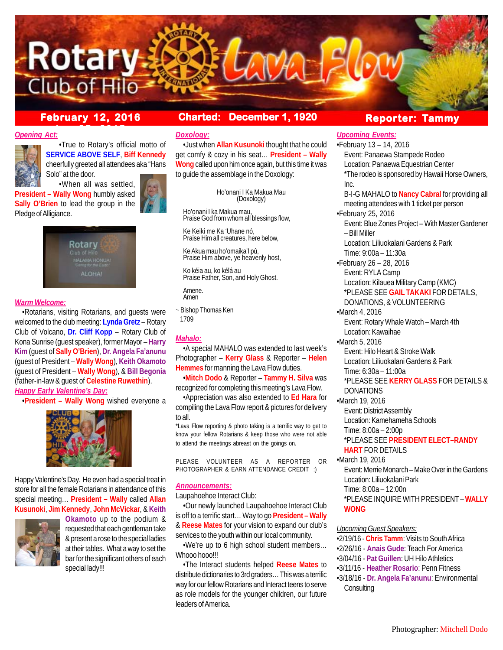

# **ber 25, 2015**

# **February 12, 2016 Charted: December 1, 1920**

#### *Opening Act:*



•True to Rotary's official motto of **SERVICE ABOVE SELF**, **Biff Kennedy** cheerfully greeted all attendees aka "Hans Solo" at the door.

•When all was settled, **President – Wally Wong** humbly asked **Sally O'Brien** to lead the group in the Pledge of Alligiance.





## *Warm Welcome:*

•Rotarians, visiting Rotarians, and guests were welcomed to the club meeting: **Lynda Gretz** – Rotary Club of Volcano, **Dr. Cliff Kopp** – Rotary Club of Kona Sunrise (guest speaker), former Mayor – **Harry Kim** (guest of **Sally O'Brien**), **Dr. Angela Fa'anunu** (guest of President – **Wally Wong**), **Keith Okamoto** (guest of President – **Wally Wong**), & **Bill Begonia** (father-in-law & guest of **Celestine Ruwethin**). *Happy Early Valentine's Day:*

•**President – Wally Wong** wished everyone a



Happy Valentine's Day. He even had a special treat in store for all the female Rotarians in attendance of this special meeting… **President – Wally** called **Allan Kusunoki**, **Jim Kennedy**, **John McVickar**, & **Keith**



**Okamoto** up to the podium & requested that each gentleman take & present a rose to the special ladies at their tables. What a way to set the bar for the significant others of each special lady!!!

#### *Doxology:*

•Just when **Allan Kusunoki** thought that he could get comfy & cozy in his seat… **President – Wally Wong** called upon him once again, but this time it was to guide the assemblage in the Doxology:

> Ho'onani I Ka Makua Mau (Doxology)

Ho'onani I ka Makua mau, Praise God from whom all blessings flow,

Ke Keiki me Ka 'Uhane nó, Praise Him all creatures, here below,

Ke Akua mau ho'omaika'I pú, Praise Him above, ye heavenly host,

Ko kéia au, ko kélá au Praise Father, Son, and Holy Ghost.

Amene. Amen

~ Bishop Thomas Ken 1709

## *Mahalo:*

•A special MAHALO was extended to last week's Photographer – **Kerry Glass** & Reporter – **Helen Hemmes** for manning the Lava Flow duties.

•**Mitch Dodo** & Reporter – **Tammy H. Silva** was recognized for completing this meeting's Lava Flow.

•Appreciation was also extended to **Ed Hara** for compiling the Lava Flow report & pictures for delivery to all.

\*Lava Flow reporting & photo taking is a terrific way to get to know your fellow Rotarians & keep those who were not able to attend the meetings abreast on the goings on.

PLEASE VOLUNTEER AS A REPORTER OR PHOTOGRAPHER & EARN ATTENDANCE CREDIT :)

#### *Announcements:*

Laupahoehoe Interact Club:

•Our newly launched Laupahoehoe Interact Club is off to a terrific start… Way to go **President – Wally** & **Reese Mates** for your vision to expand our club's services to the youth within our local community.

•We're up to 6 high school student members… Whooo hooo!!!

•The Interact students helped **Reese Mates** to distribute dictionaries to 3rd graders… This was a terrific way for our fellow Rotarians and Interact teens to serve as role models for the younger children, our future leaders of America.

## **Reporter: Tammy**

*Upcoming Events:* •February 13 – 14, 2016 Event: Panaewa Stampede Rodeo Location: Panaewa Equestrian Center \*The rodeo is sponsored by Hawaii Horse Owners, Inc. B-I-G MAHALO to **Nancy Cabral** for providing all meeting attendees with 1 ticket per person •February 25, 2016 Event: Blue Zones Project – With Master Gardener – Bill Miller Location: Liliuokalani Gardens & Park Time: 9:00a – 11:30a •February 26 – 28, 2016 Event: RYLA Camp Location: Kilauea Military Camp (KMC) \*PLEASE SEE **GAIL TAKAKI** FOR DETAILS, DONATIONS, & VOLUNTEERING •March 4, 2016 Event: Rotary Whale Watch – March 4th Location: Kawaihae •March 5, 2016 Event: Hilo Heart & Stroke Walk Location: Liliuokalani Gardens & Park Time: 6:30a – 11:00a \*PLEASE SEE **KERRY GLASS** FOR DETAILS & DONATIONS •March 19, 2016 Event: District Assembly Location: Kamehameha Schools Time: 8:00a – 2:00p \*PLEASE SEE **PRESIDENT ELECT–RANDY HART** FOR DETAILS •March 19, 2016 Event: Merrie Monarch – Make Over in the Gardens Location: Liliuokalani Park Time: 8:00a – 12:00n \*PLEASE INQUIRE WITH PRESIDENT – **WALLY WONG**

#### *Upcoming Guest Speakers:*

- •2/19/16 **Chris Tamm**: Visits to South Africa
- •2/26/16 **Anais Gude**: Teach For America
- •3/04/16 **Pat Guillen**: UH Hilo Athletics
- •3/11/16 **Heather Rosario**: Penn Fitness
- •3/18/16 **Dr. Angela Fa'anunu**: Environmental **Consulting**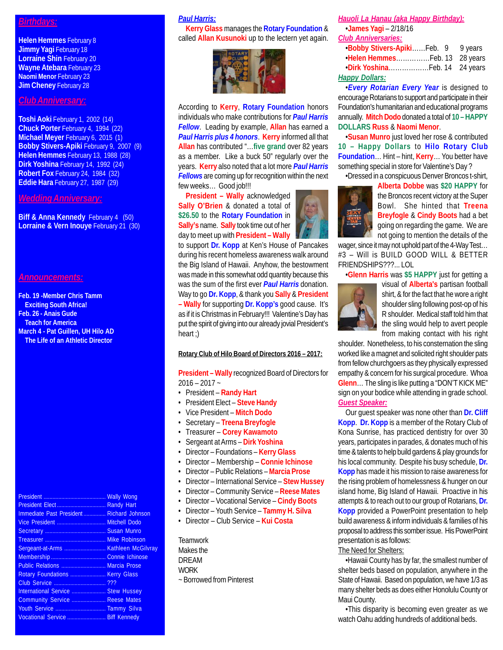## *Birthdays:*

**Helen Hemmes** February 8 **Jimmy Yagi February 18 Lorraine Shin** February 20 **Wayne Atebara** February 23 **Naomi Menor** February 23 **Jim Cheney February 28** 

## *Club Anniversary:*

**Toshi Aoki** February 1, 2002 (14) **Chuck Porter** February 4, 1994 (22) **Michael Meyer** February 6, 2015 (1) **Bobby Stivers-Apiki** February 9, 2007 (9) **Helen Hemmes** February 13, 1988 (28) **Dirk Yoshina** February 14, 1992 (24) **Robert Fox** February 24, 1984 (32) **Eddie Hara** February 27, 1987 (29)

## *Wedding Anniversary:*

**Biff & Anna Kennedy February 4 (50) Lorraine & Vern Inouye** February 21 (30)

#### *Announcements:*

**Feb. 19 -Member Chris Tamm Exciting South Africa! Feb. 26 - Anais Gude Teach for America March 4 - Pat Guillen, UH Hilo AD The Life of an Athletic Director**

| Immediate Past President Richard Johnson |  |
|------------------------------------------|--|
|                                          |  |
|                                          |  |
|                                          |  |
|                                          |  |
|                                          |  |
| Public Relations  Marcia Prose           |  |
| Rotary Foundations  Kerry Glass          |  |
|                                          |  |
| International Service  Stew Hussey       |  |
| Community Service  Reese Mates           |  |
|                                          |  |
| Vocational Service  Biff Kennedy         |  |

#### *Paul Harris:*

**Kerry Glass** manages the **Rotary Foundation** & called **Allan Kusunoki** up to the lectern yet again.



According to **Kerry**, **Rotary Foundation** honors individuals who make contributions for *Paul Harris Fellow*. Leading by example, **Allan** has earned a *Paul Harris plus 4 honors*. **Kerry** informed all that **Allan** has contributed "…**five grand** over 82 years as a member. Like a buck 50" regularly over the years. **Kerry** also noted that a lot more *Paul Harris Fellows* are coming up for recognition within the next few weeks… Good job!!!

**President – Wally** acknowledged **Sally O'Brien** & donated a total of **\$26.50** to the **Rotary Foundation** in **Sally's** name. **Sally** took time out of her day to meet up with **President – Wally**

to support **Dr. Kopp** at Ken's House of Pancakes during his recent homeless awareness walk around the Big Island of Hawaii. Anyhow, the bestowment was made in this somewhat odd quantity because this was the sum of the first ever *Paul Harris* donation. Way to go **Dr. Kopp**, & thank you **Sally** & **President – Wally** for supporting **Dr. Kopp's** good cause. It's as if it is Christmas in February!!! Valentine's Day has put the spirit of giving into our already jovial President's heart :)

#### **Rotary Club of Hilo Board of Directors 2016 – 2017:**

**President – Wally** recognized Board of Directors for 2016 – 2017 ~

- President **Randy Hart**
- President Elect **Steve Handy**
- Vice President **Mitch Dodo**
- Secretary **Treena Breyfogle**
- Treasurer **Corey Kawamoto**
- Sergeant at Arms **Dirk Yoshina**
- Director Foundations **Kerry Glass**
- Director Membership **Connie Ichinose**
- Director Public Relations **Marcia Prose**
- Director International Service **Stew Hussey**
- Director Community Service **Reese Mates**
- Director Vocational Service **Cindy Boots**
- Director Youth Service **Tammy H. Silva**
- Director Club Service **Kui Costa**

**Teamwork** Makes the DREAM **WORK** ~ Borrowed from Pinterest

#### *Hauoli La Hanau (aka Happy Birthday):*

•**James Yagi** – 2/18/16 *Club Anniversaries:*

| .Bobby Stivers-ApikiFeb. 9 9 years |  |
|------------------------------------|--|
| . Helen Hemmes Feb. 13 28 years    |  |
|                                    |  |
| <b>Happy Dollars:</b>              |  |

•*Every Rotarian Every Year* is designed to encourage Rotarians to support and participate in their Foundation's humanitarian and educational programs annually. **Mitch Dodo** donated a total of **10 – HAPPY DOLLARS Russ** & **Naomi Menor**.

•**Susan Munro** just loved her rose & contributed **10 – Happy Dollars** to **Hilo Rotary Club Foundation**… Hint – hint, **Kerry**… You better have something special in store for Valentine's Day ?

•Dressed in a conspicuous Denver Broncos t-shirt,



**Alberta Dobbe** was **\$20 HAPPY** for the Broncos recent victory at the Super Bowl. She hinted that **Treena Breyfogle** & **Cindy Boots** had a bet going on regarding the game. We are not going to mention the details of the

wager, since it may not uphold part of the 4-Way Test… #3 – Will is BUILD GOOD WILL & BETTER FRIENDSHIPS???... LOL

•**Glenn Harris** was **\$5 HAPPY** just for getting a



visual of **Alberta's** partisan football shirt, & for the fact that he wore a right shoulder sling following post-op of his R shoulder. Medical staff told him that the sling would help to avert people from making contact with his right

shoulder. Nonetheless, to his consternation the sling worked like a magnet and solicited right shoulder pats from fellow churchgoers as they physically expressed empathy & concern for his surgical procedure. Whoa **Glenn**… The sling is like putting a "DON'T KICK ME" sign on your bodice while attending in grade school. *Guest Speaker:*

Our guest speaker was none other than **Dr. Cliff Kopp**. **Dr. Kopp** is a member of the Rotary Club of Kona Sunrise, has practiced dentistry for over 30 years, participates in parades, & donates much of his time & talents to help build gardens & play grounds for his local community. Despite his busy schedule, **Dr. Kopp** has made it his mission to raise awareness for the rising problem of homelessness & hunger on our island home, Big Island of Hawaii. Proactive in his attempts & to reach out to our group of Rotarians, **Dr. Kopp** provided a PowerPoint presentation to help build awareness & inform individuals & families of his proposal to address this somber issue. His PowerPoint presentation is as follows:

## The Need for Shelters:

•Hawaii County has by far, the smallest number of shelter beds based on population, anywhere in the State of Hawaii. Based on population, we have 1/3 as many shelter beds as does either Honolulu County or Maui County.

•This disparity is becoming even greater as we watch Oahu adding hundreds of additional beds.